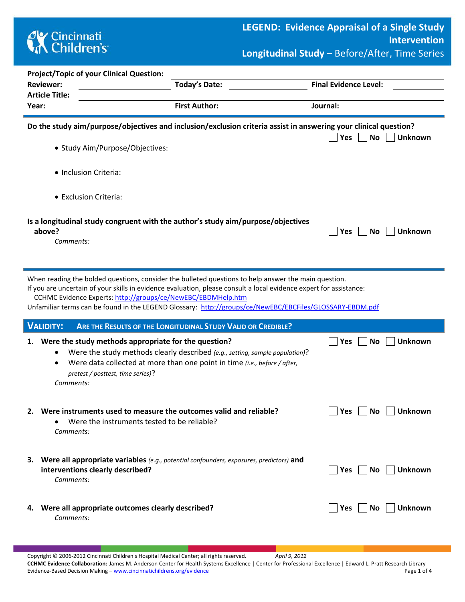## **CK** Cincinnati<br> **Children's**

| <b>Project/Topic of your Clinical Question:</b>                                                                                                                                                                                                                                                                                                                                                        |                                                                                                                                                           |                                    |  |  |  |  |  |  |  |
|--------------------------------------------------------------------------------------------------------------------------------------------------------------------------------------------------------------------------------------------------------------------------------------------------------------------------------------------------------------------------------------------------------|-----------------------------------------------------------------------------------------------------------------------------------------------------------|------------------------------------|--|--|--|--|--|--|--|
| <b>Reviewer:</b>                                                                                                                                                                                                                                                                                                                                                                                       | <b>Today's Date:</b>                                                                                                                                      | <b>Final Evidence Level:</b>       |  |  |  |  |  |  |  |
| <b>Article Title:</b>                                                                                                                                                                                                                                                                                                                                                                                  |                                                                                                                                                           |                                    |  |  |  |  |  |  |  |
| Year:                                                                                                                                                                                                                                                                                                                                                                                                  | <b>First Author:</b>                                                                                                                                      | Journal:                           |  |  |  |  |  |  |  |
| Do the study aim/purpose/objectives and inclusion/exclusion criteria assist in answering your clinical question?<br>• Study Aim/Purpose/Objectives:                                                                                                                                                                                                                                                    | <b>No</b><br><b>Unknown</b><br>Yes                                                                                                                        |                                    |  |  |  |  |  |  |  |
|                                                                                                                                                                                                                                                                                                                                                                                                        |                                                                                                                                                           |                                    |  |  |  |  |  |  |  |
| · Inclusion Criteria:                                                                                                                                                                                                                                                                                                                                                                                  |                                                                                                                                                           |                                    |  |  |  |  |  |  |  |
| • Exclusion Criteria:                                                                                                                                                                                                                                                                                                                                                                                  |                                                                                                                                                           |                                    |  |  |  |  |  |  |  |
| Is a longitudinal study congruent with the author's study aim/purpose/objectives<br>above?<br>Comments:                                                                                                                                                                                                                                                                                                |                                                                                                                                                           | Yes<br><b>No</b><br><b>Unknown</b> |  |  |  |  |  |  |  |
| When reading the bolded questions, consider the bulleted questions to help answer the main question.<br>If you are uncertain of your skills in evidence evaluation, please consult a local evidence expert for assistance:<br>CCHMC Evidence Experts: http://groups/ce/NewEBC/EBDMHelp.htm<br>Unfamiliar terms can be found in the LEGEND Glossary: http://groups/ce/NewEBC/EBCFiles/GLOSSARY-EBDM.pdf |                                                                                                                                                           |                                    |  |  |  |  |  |  |  |
| <b>VALIDITY:</b>                                                                                                                                                                                                                                                                                                                                                                                       | ARE THE RESULTS OF THE LONGITUDINAL STUDY VALID OR CREDIBLE?                                                                                              |                                    |  |  |  |  |  |  |  |
| 1. Were the study methods appropriate for the question?<br>٠<br>٠<br>pretest / posttest, time series)?<br>Comments:                                                                                                                                                                                                                                                                                    | Were the study methods clearly described (e.g., setting, sample population)?<br>Were data collected at more than one point in time (i.e., before / after, | <b>Unknown</b><br>Yes<br>No        |  |  |  |  |  |  |  |
| Were instruments used to measure the outcomes valid and reliable?<br>2.<br>Were the instruments tested to be reliable?<br>Comments:                                                                                                                                                                                                                                                                    |                                                                                                                                                           | Yes<br>No<br><b>Unknown</b>        |  |  |  |  |  |  |  |
| 3. Were all appropriate variables (e.g., potential confounders, exposures, predictors) and<br>interventions clearly described?<br>Comments:                                                                                                                                                                                                                                                            |                                                                                                                                                           | No<br><b>Unknown</b><br>Yes        |  |  |  |  |  |  |  |
|                                                                                                                                                                                                                                                                                                                                                                                                        |                                                                                                                                                           |                                    |  |  |  |  |  |  |  |

## **4.** Were all appropriate outcomes clearly described?  $\Box$  Yes  $\Box$  No  $\Box$  Unknown

*Comments:*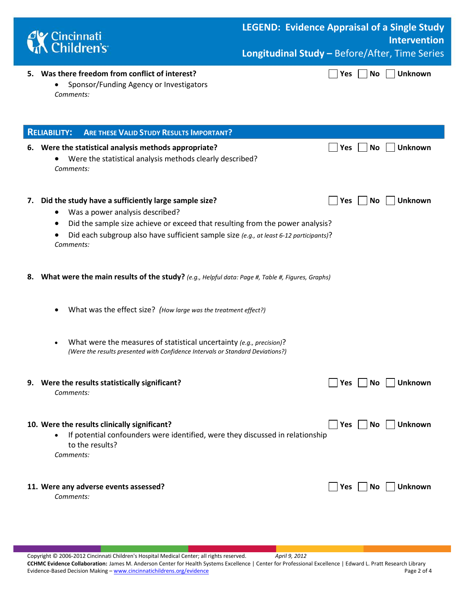| Cincinnati<br>Children's                                                                                                                                                                                                                                                              | <b>LEGEND: Evidence Appraisal of a Single Study</b><br><b>Intervention</b> |  |  |  |  |  |  |  |
|---------------------------------------------------------------------------------------------------------------------------------------------------------------------------------------------------------------------------------------------------------------------------------------|----------------------------------------------------------------------------|--|--|--|--|--|--|--|
|                                                                                                                                                                                                                                                                                       | Longitudinal Study - Before/After, Time Series                             |  |  |  |  |  |  |  |
| 5. Was there freedom from conflict of interest?<br>Sponsor/Funding Agency or Investigators<br>Comments:                                                                                                                                                                               | <b>Unknown</b><br>Yes<br>No                                                |  |  |  |  |  |  |  |
| <b>ARE THESE VALID STUDY RESULTS IMPORTANT?</b><br><b>RELIABILITY:</b>                                                                                                                                                                                                                |                                                                            |  |  |  |  |  |  |  |
| 6. Were the statistical analysis methods appropriate?<br>Were the statistical analysis methods clearly described?<br>Comments:                                                                                                                                                        | Unknown<br>No<br><b>Yes</b>                                                |  |  |  |  |  |  |  |
| Did the study have a sufficiently large sample size?<br>7.<br>Was a power analysis described?<br>Did the sample size achieve or exceed that resulting from the power analysis?<br>Did each subgroup also have sufficient sample size (e.g., at least 6-12 participants)?<br>Comments: | Unknown<br><b>Yes</b><br><b>No</b>                                         |  |  |  |  |  |  |  |
| What were the main results of the study? (e.g., Helpful data: Page #, Table #, Figures, Graphs)<br>8.                                                                                                                                                                                 |                                                                            |  |  |  |  |  |  |  |
| What was the effect size? (How large was the treatment effect?)                                                                                                                                                                                                                       |                                                                            |  |  |  |  |  |  |  |
| What were the measures of statistical uncertainty (e.g., precision)?<br>(Were the results presented with Confidence Intervals or Standard Deviations?)                                                                                                                                |                                                                            |  |  |  |  |  |  |  |
| 9. Were the results statistically significant?<br>Comments:                                                                                                                                                                                                                           | Unknown<br>Yes<br><b>No</b>                                                |  |  |  |  |  |  |  |
| 10. Were the results clinically significant?<br>If potential confounders were identified, were they discussed in relationship<br>to the results?<br>Comments:                                                                                                                         | <b>Unknown</b><br>No<br><b>Yes</b>                                         |  |  |  |  |  |  |  |
| 11. Were any adverse events assessed?<br>Comments:                                                                                                                                                                                                                                    | Yes<br>Unknown<br>No.                                                      |  |  |  |  |  |  |  |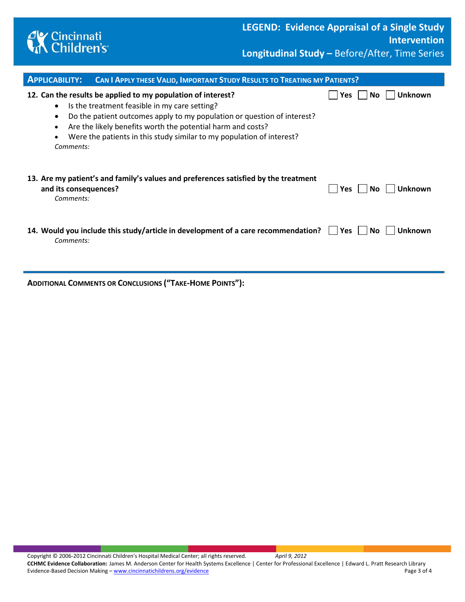

| <b>APPLICABILITY:</b>                            | <b>CAN I APPLY THESE VALID, IMPORTANT STUDY RESULTS TO TREATING MY PATIENTS?</b>                                                                                                                                                                                                                                                 |              |                |
|--------------------------------------------------|----------------------------------------------------------------------------------------------------------------------------------------------------------------------------------------------------------------------------------------------------------------------------------------------------------------------------------|--------------|----------------|
| $\bullet$<br>$\bullet$<br>$\bullet$<br>Comments: | 12. Can the results be applied to my population of interest?<br>Is the treatment feasible in my care setting?<br>Do the patient outcomes apply to my population or question of interest?<br>Are the likely benefits worth the potential harm and costs?<br>Were the patients in this study similar to my population of interest? | Yes.<br>No.  | Unknown        |
| and its consequences?<br>Comments:               | 13. Are my patient's and family's values and preferences satisfied by the treatment                                                                                                                                                                                                                                              | Yes<br>No.   | <b>Unknown</b> |
| Comments:                                        | 14. Would you include this study/article in development of a care recommendation?                                                                                                                                                                                                                                                | Yes l<br>No. | Unknown        |

**ADDITIONAL COMMENTS OR CONCLUSIONS ("TAKE-HOME POINTS"):**